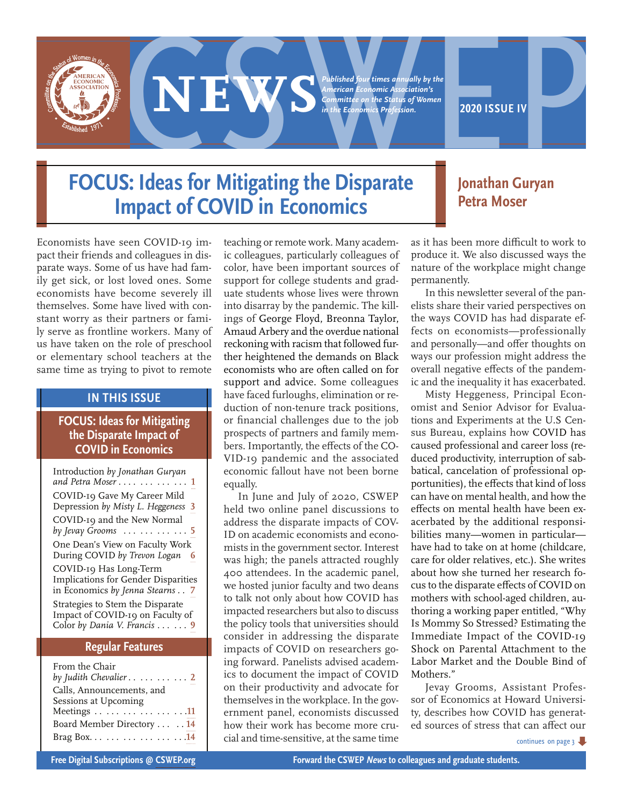

# **EXPERIENCE ON THE CONDUCT OF A PROBLEM**<br> *American Economité Association's*<br> *Committee on the Status of Women*<br> **2020 ISSUE IV**<br> **2020 ISSUE IV**<br> **2020 ISSUE IV**<br> **2020 ISSUE IV**<br> **2020 ISSUE IV**<br> **2020 ISSUE IV**

*Published four times annually by the American Economic Association's Committee on the Status of Women in the Economics Profession.*

## **FOCUS: Ideas for Mitigating the Disparate Impact of COVID in Economics**

## **Jonathan Guryan Petra Moser**

Economists have seen COVID-19 impact their friends and colleagues in disparate ways. Some of us have had family get sick, or lost loved ones. Some economists have become severely ill themselves. Some have lived with constant worry as their partners or family serve as frontline workers. Many of us have taken on the role of preschool or elementary school teachers at the same time as trying to pivot to remote

#### **IN THIS ISSUE**

#### **FOCUS: Ideas for Mitigating the Disparate Impact of COVID in Economics**

| Introduction by Jonathan Guryan<br>and Petra Moser 1                                                         |
|--------------------------------------------------------------------------------------------------------------|
| COVID-19 Gave My Career Mild<br>Depression by Misty L. Heggeness 3                                           |
| COVID-19 and the New Normal<br>by Jevay Grooms $\ldots \ldots \ldots \ldots 5$                               |
| One Dean's View on Faculty Work<br>During COVID by Trevon Logan<br>6                                         |
| COVID-19 Has Long-Term<br>Implications for Gender Disparities<br>in Economics by Jenna Stearns 7             |
| Strategies to Stem the Disparate<br>Impact of COVID-19 on Faculty of<br>Color by Dania V. Francis $\ldots$ 9 |

#### **Regular Features**

| From the Chair                               |
|----------------------------------------------|
| by Judith Chevalier $\ldots \ldots \ldots 2$ |
| Calls, Announcements, and                    |
| Sessions at Upcoming                         |
| Meetings 11                                  |
| Board Member Directory  14                   |
|                                              |

teaching or remote work. Many academic colleagues, particularly colleagues of color, have been important sources of support for college students and graduate students whose lives were thrown into disarray by the pandemic. The killings of George Floyd, Breonna Taylor, Amaud Arbery and the overdue national reckoning with racism that followed further heightened the demands on Black economists who are often called on for support and advice. Some colleagues have faced furloughs, elimination or reduction of non-tenure track positions, or financial challenges due to the job prospects of partners and family members. Importantly, the effects of the CO-VID-19 pandemic and the associated economic fallout have not been borne equally.

In June and July of 2020, CSWEP held two online panel discussions to address the disparate impacts of COV-ID on academic economists and economists in the government sector. Interest was high; the panels attracted roughly 400 attendees. In the academic panel, we hosted junior faculty and two deans to talk not only about how COVID has impacted researchers but also to discuss the policy tools that universities should consider in addressing the disparate impacts of COVID on researchers going forward. Panelists advised academics to document the impact of COVID on their productivity and advocate for themselves in the workplace. In the government panel, economists discussed how their work has become more crucial and time-sensitive, at the same time as it has been more difficult to work to produce it. We also discussed ways the nature of the workplace might change permanently.

In this newsletter several of the panelists share their varied perspectives on the ways COVID has had disparate effects on economists—professionally and personally—and offer thoughts on ways our profession might address the overall negative effects of the pandemic and the inequality it has exacerbated.

Misty Heggeness, Principal Economist and Senior Advisor for Evaluations and Experiments at the U.S Census Bureau, explains how COVID has caused professional and career loss (reduced productivity, interruption of sabbatical, cancelation of professional opportunities), the effects that kind of loss can have on mental health, and how the effects on mental health have been exacerbated by the additional responsibilities many—women in particular have had to take on at home (childcare, care for older relatives, etc.). She writes about how she turned her research focus to the disparate effects of COVID on mothers with school-aged children, authoring a working paper entitled, "Why Is Mommy So Stressed? Estimating the Immediate Impact of the COVID-19 Shock on Parental Attachment to the Labor Market and the Double Bind of Mothers."

Jevay Grooms, Assistant Professor of Economics at Howard University, describes how COVID has generated sources of stress that can affect our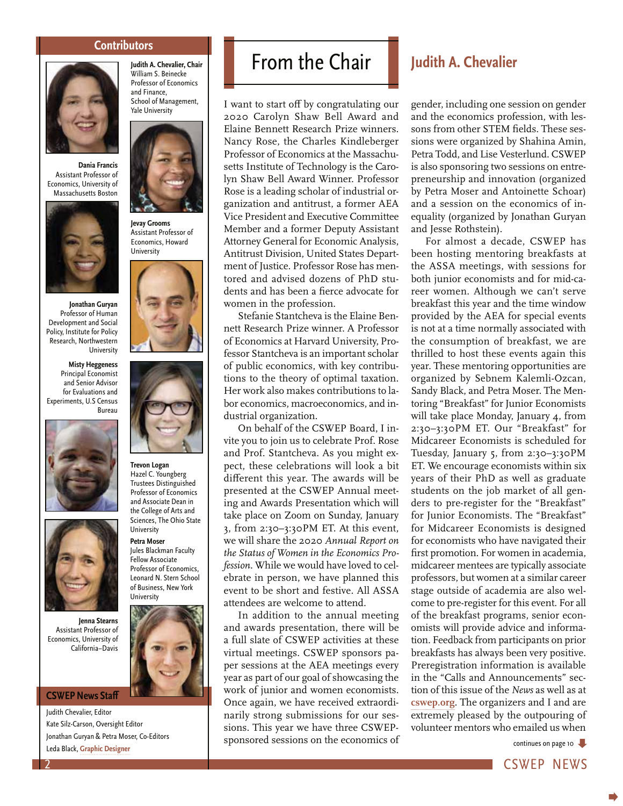#### **Contributors**



**Dania Francis** Assistant Professor of Economics, University of Massachusetts Boston



**Jonathan Guryan** Professor of Human Development and Social Policy, Institute for Policy Research, Northwestern University

**Misty Heggeness** Principal Economist and Senior Advisor for Evaluations and Experiments, U.S Census Bureau





**Jenna Stearns** Assistant Professor of Economics, University of California–Davis

#### **CSWEP News Staff**

Judith Chevalier, Editor Kate Silz-Carson, Oversight Editor Jonathan Guryan & Petra Moser, Co-Editors Leda Black, **Graphic Designer**





**Jevay Grooms** Assistant Professor of Economics, Howard **University** 





**Trevon Logan** Hazel C. Youngberg Trustees Distinguished Professor of Economics and Associate Dean in the College of Arts and Sciences, The Ohio State University

**Petra Moser** Jules Blackman Faculty Fellow Associate Professor of Economics, Leonard N. Stern School of Business, New York University



## From the Chair **Judith A. Chevalier**

I want to start off by congratulating our 2020 Carolyn Shaw Bell Award and Elaine Bennett Research Prize winners. Nancy Rose, the Charles Kindleberger Professor of Economics at the Massachusetts Institute of Technology is the Carolyn Shaw Bell Award Winner. Professor Rose is a leading scholar of industrial organization and antitrust, a former AEA Vice President and Executive Committee Member and a former Deputy Assistant Attorney General for Economic Analysis, Antitrust Division, United States Department of Justice. Professor Rose has mentored and advised dozens of PhD students and has been a fierce advocate for women in the profession.

Stefanie Stantcheva is the Elaine Bennett Research Prize winner. A Professor of Economics at Harvard University, Professor Stantcheva is an important scholar of public economics, with key contributions to the theory of optimal taxation. Her work also makes contributions to labor economics, macroeconomics, and industrial organization.

On behalf of the CSWEP Board, I invite you to join us to celebrate Prof. Rose and Prof. Stantcheva. As you might expect, these celebrations will look a bit different this year. The awards will be presented at the CSWEP Annual meeting and Awards Presentation which will take place on Zoom on Sunday, January 3, from 2:30–3:30PM ET. At this event, we will share the 2020 *Annual Report on the Status of Women in the Economics Profession*. While we would have loved to celebrate in person, we have planned this event to be short and festive. All ASSA attendees are welcome to attend.

In addition to the annual meeting and awards presentation, there will be a full slate of CSWEP activities at these virtual meetings. CSWEP sponsors paper sessions at the AEA meetings every year as part of our goal of showcasing the work of junior and women economists. Once again, we have received extraordinarily strong submissions for our sessions. This year we have three CSWEPsponsored sessions on the economics of

gender, including one session on gender and the economics profession, with lessons from other STEM fields. These sessions were organized by Shahina Amin, Petra Todd, and Lise Vesterlund. CSWEP is also sponsoring two sessions on entrepreneurship and innovation (organized by Petra Moser and Antoinette Schoar) and a session on the economics of inequality (organized by Jonathan Guryan and Jesse Rothstein).

For almost a decade, CSWEP has been hosting mentoring breakfasts at the ASSA meetings, with sessions for both junior economists and for mid-career women. Although we can't serve breakfast this year and the time window provided by the AEA for special events is not at a time normally associated with the consumption of breakfast, we are thrilled to host these events again this year. These mentoring opportunities are organized by Sebnem Kalemli-Ozcan, Sandy Black, and Petra Moser. The Mentoring "Breakfast" for Junior Economists will take place Monday, January 4, from 2:30–3:30PM ET. Our "Breakfast" for Midcareer Economists is scheduled for Tuesday, January 5, from 2:30–3:30PM ET. We encourage economists within six years of their PhD as well as graduate students on the job market of all genders to pre-register for the "Breakfast" for Junior Economists. The "Breakfast" for Midcareer Economists is designed for economists who have navigated their first promotion. For women in academia, midcareer mentees are typically associate professors, but women at a similar career stage outside of academia are also welcome to pre-register for this event. For all of the breakfast programs, senior economists will provide advice and information. Feedback from participants on prior breakfasts has always been very positive. Preregistration information is available in the "Calls and Announcements" section of this issue of the *News* as well as at **cswep.org**. The organizers and I and are extremely pleased by the outpouring of volunteer mentors who emailed us when

continues on page 10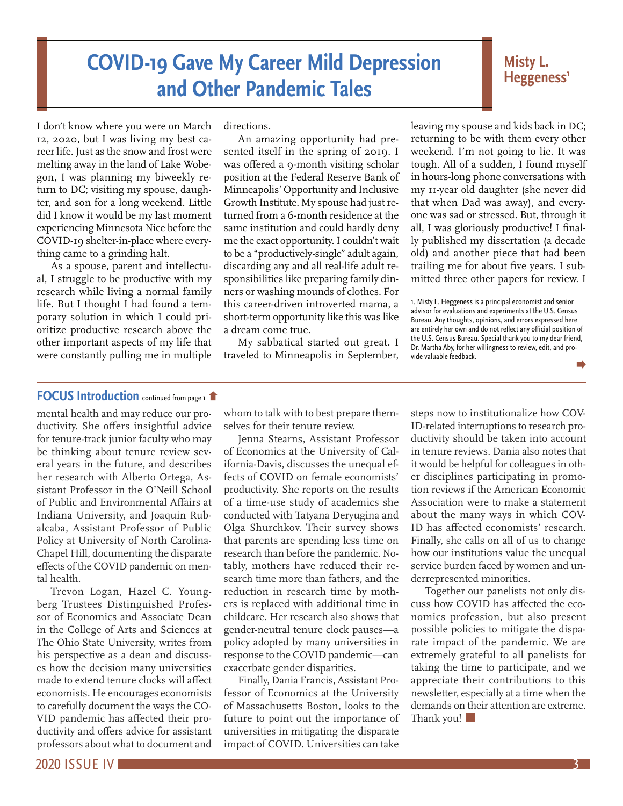# **COVID-19 Gave My Career Mild Depression and Other Pandemic Tales**

#### **Misty L.**  Heggeness<sup>1</sup>

I don't know where you were on March 12, 2020, but I was living my best career life. Just as the snow and frost were melting away in the land of Lake Wobegon, I was planning my biweekly return to DC; visiting my spouse, daughter, and son for a long weekend. Little did I know it would be my last moment experiencing Minnesota Nice before the COVID-19 shelter-in-place where everything came to a grinding halt.

As a spouse, parent and intellectual, I struggle to be productive with my research while living a normal family life. But I thought I had found a temporary solution in which I could prioritize productive research above the other important aspects of my life that were constantly pulling me in multiple

directions.

An amazing opportunity had presented itself in the spring of 2019. I was offered a 9-month visiting scholar position at the Federal Reserve Bank of Minneapolis' Opportunity and Inclusive Growth Institute. My spouse had just returned from a 6-month residence at the same institution and could hardly deny me the exact opportunity. I couldn't wait to be a "productively-single" adult again, discarding any and all real-life adult responsibilities like preparing family dinners or washing mounds of clothes. For this career-driven introverted mama, a short-term opportunity like this was like a dream come true.

My sabbatical started out great. I traveled to Minneapolis in September, leaving my spouse and kids back in DC; returning to be with them every other weekend. I'm not going to lie. It was tough. All of a sudden, I found myself in hours-long phone conversations with my 11-year old daughter (she never did that when Dad was away), and everyone was sad or stressed. But, through it all, I was gloriously productive! I finally published my dissertation (a decade old) and another piece that had been trailing me for about five years. I submitted three other papers for review. I

#### **FOCUS Introduction** continued from page 1

mental health and may reduce our productivity. She offers insightful advice for tenure-track junior faculty who may be thinking about tenure review several years in the future, and describes her research with Alberto Ortega, Assistant Professor in the O'Neill School of Public and Environmental Affairs at Indiana University, and Joaquin Rubalcaba, Assistant Professor of Public Policy at University of North Carolina-Chapel Hill, documenting the disparate effects of the COVID pandemic on mental health.

Trevon Logan, Hazel C. Youngberg Trustees Distinguished Professor of Economics and Associate Dean in the College of Arts and Sciences at The Ohio State University, writes from his perspective as a dean and discusses how the decision many universities made to extend tenure clocks will affect economists. He encourages economists to carefully document the ways the CO-VID pandemic has affected their productivity and offers advice for assistant professors about what to document and

whom to talk with to best prepare themselves for their tenure review.

Jenna Stearns, Assistant Professor of Economics at the University of California-Davis, discusses the unequal effects of COVID on female economists' productivity. She reports on the results of a time-use study of academics she conducted with Tatyana Deryugina and Olga Shurchkov. Their survey shows that parents are spending less time on research than before the pandemic. Notably, mothers have reduced their research time more than fathers, and the reduction in research time by mothers is replaced with additional time in childcare. Her research also shows that gender-neutral tenure clock pauses—a policy adopted by many universities in response to the COVID pandemic—can exacerbate gender disparities.

Finally, Dania Francis, Assistant Professor of Economics at the University of Massachusetts Boston, looks to the future to point out the importance of universities in mitigating the disparate impact of COVID. Universities can take steps now to institutionalize how COV-ID-related interruptions to research productivity should be taken into account in tenure reviews. Dania also notes that it would be helpful for colleagues in other disciplines participating in promotion reviews if the American Economic Association were to make a statement about the many ways in which COV-ID has affected economists' research. Finally, she calls on all of us to change how our institutions value the unequal service burden faced by women and underrepresented minorities.

Together our panelists not only discuss how COVID has affected the economics profession, but also present possible policies to mitigate the disparate impact of the pandemic. We are extremely grateful to all panelists for taking the time to participate, and we appreciate their contributions to this newsletter, especially at a time when the demands on their attention are extreme. Thank you!

<sup>1.</sup> Misty L. Heggeness is a principal economist and senior advisor for evaluations and experiments at the U.S. Census Bureau. Any thoughts, opinions, and errors expressed here are entirely her own and do not reflect any official position of the U.S. Census Bureau. Special thank you to my dear friend, Dr. Martha Aby, for her willingness to review, edit, and provide valuable feedback.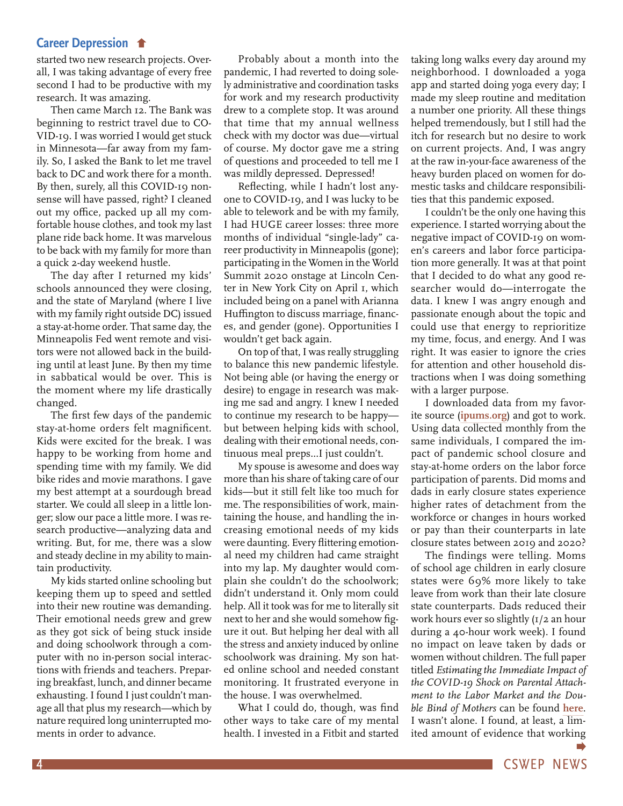#### **Career Depression**

started two new research projects. Overall, I was taking advantage of every free second I had to be productive with my research. It was amazing.

Then came March 12. The Bank was beginning to restrict travel due to CO-VID-19. I was worried I would get stuck in Minnesota—far away from my family. So, I asked the Bank to let me travel back to DC and work there for a month. By then, surely, all this COVID-19 nonsense will have passed, right? I cleaned out my office, packed up all my comfortable house clothes, and took my last plane ride back home. It was marvelous to be back with my family for more than a quick 2-day weekend hustle.

The day after I returned my kids' schools announced they were closing, and the state of Maryland (where I live with my family right outside DC) issued a stay-at-home order. That same day, the Minneapolis Fed went remote and visitors were not allowed back in the building until at least June. By then my time in sabbatical would be over. This is the moment where my life drastically changed.

The first few days of the pandemic stay-at-home orders felt magnificent. Kids were excited for the break. I was happy to be working from home and spending time with my family. We did bike rides and movie marathons. I gave my best attempt at a sourdough bread starter. We could all sleep in a little longer; slow our pace a little more. I was research productive—analyzing data and writing. But, for me, there was a slow and steady decline in my ability to maintain productivity.

My kids started online schooling but keeping them up to speed and settled into their new routine was demanding. Their emotional needs grew and grew as they got sick of being stuck inside and doing schoolwork through a computer with no in-person social interactions with friends and teachers. Preparing breakfast, lunch, and dinner became exhausting. I found I just couldn't manage all that plus my research—which by nature required long uninterrupted moments in order to advance.

Probably about a month into the pandemic, I had reverted to doing solely administrative and coordination tasks for work and my research productivity drew to a complete stop. It was around that time that my annual wellness check with my doctor was due—virtual of course. My doctor gave me a string of questions and proceeded to tell me I was mildly depressed. Depressed!

Reflecting, while I hadn't lost anyone to COVID-19, and I was lucky to be able to telework and be with my family, I had HUGE career losses: three more months of individual "single-lady" career productivity in Minneapolis (gone); participating in the Women in the World Summit 2020 onstage at Lincoln Center in New York City on April 1, which included being on a panel with Arianna Huffington to discuss marriage, finances, and gender (gone). Opportunities I wouldn't get back again.

On top of that, I was really struggling to balance this new pandemic lifestyle. Not being able (or having the energy or desire) to engage in research was making me sad and angry. I knew I needed to continue my research to be happy but between helping kids with school, dealing with their emotional needs, continuous meal preps...I just couldn't.

My spouse is awesome and does way more than his share of taking care of our kids—but it still felt like too much for me. The responsibilities of work, maintaining the house, and handling the increasing emotional needs of my kids were daunting. Every flittering emotional need my children had came straight into my lap. My daughter would complain she couldn't do the schoolwork; didn't understand it. Only mom could help. All it took was for me to literally sit next to her and she would somehow figure it out. But helping her deal with all the stress and anxiety induced by online schoolwork was draining. My son hated online school and needed constant monitoring. It frustrated everyone in the house. I was overwhelmed.

What I could do, though, was find other ways to take care of my mental health. I invested in a Fitbit and started taking long walks every day around my neighborhood. I downloaded a yoga app and started doing yoga every day; I made my sleep routine and meditation a number one priority. All these things helped tremendously, but I still had the itch for research but no desire to work on current projects. And, I was angry at the raw in-your-face awareness of the heavy burden placed on women for domestic tasks and childcare responsibilities that this pandemic exposed.

I couldn't be the only one having this experience. I started worrying about the negative impact of COVID-19 on women's careers and labor force participation more generally. It was at that point that I decided to do what any good researcher would do—interrogate the data. I knew I was angry enough and passionate enough about the topic and could use that energy to reprioritize my time, focus, and energy. And I was right. It was easier to ignore the cries for attention and other household distractions when I was doing something with a larger purpose.

I downloaded data from my favorite source (**ipums.org**) and got to work. Using data collected monthly from the same individuals, I compared the impact of pandemic school closure and stay-at-home orders on the labor force participation of parents. Did moms and dads in early closure states experience higher rates of detachment from the workforce or changes in hours worked or pay than their counterparts in late closure states between 2019 and 2020?

The findings were telling. Moms of school age children in early closure states were 69% more likely to take leave from work than their late closure state counterparts. Dads reduced their work hours ever so slightly (1/2 an hour during a 40-hour work week). I found no impact on leave taken by dads or women without children. The full paper titled *Estimating the Immediate Impact of the COVID-19 Shock on Parental Attachment to the Labor Market and the Double Bind of Mothers* can be found **here**. I wasn't alone. I found, at least, a limited amount of evidence that working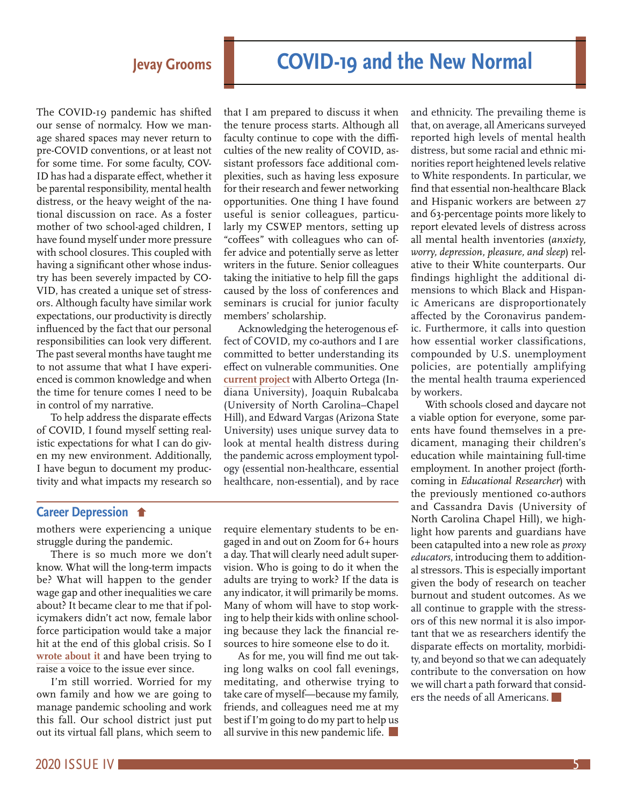The COVID-19 pandemic has shifted our sense of normalcy. How we manage shared spaces may never return to pre-COVID conventions, or at least not for some time. For some faculty, COV-ID has had a disparate effect, whether it be parental responsibility, mental health distress, or the heavy weight of the national discussion on race. As a foster mother of two school-aged children, I have found myself under more pressure with school closures. This coupled with having a significant other whose industry has been severely impacted by CO-VID, has created a unique set of stressors. Although faculty have similar work expectations, our productivity is directly influenced by the fact that our personal responsibilities can look very different. The past several months have taught me to not assume that what I have experienced is common knowledge and when the time for tenure comes I need to be in control of my narrative.

To help address the disparate effects of COVID, I found myself setting realistic expectations for what I can do given my new environment. Additionally, I have begun to document my productivity and what impacts my research so

that I am prepared to discuss it when the tenure process starts. Although all faculty continue to cope with the difficulties of the new reality of COVID, assistant professors face additional complexities, such as having less exposure for their research and fewer networking opportunities. One thing I have found useful is senior colleagues, particularly my CSWEP mentors, setting up "coffees" with colleagues who can offer advice and potentially serve as letter writers in the future. Senior colleagues taking the initiative to help fill the gaps caused by the loss of conferences and seminars is crucial for junior faculty members' scholarship.

Acknowledging the heterogenous effect of COVID, my co-authors and I are committed to better understanding its effect on vulnerable communities. One **current project** with Alberto Ortega (Indiana University), Joaquin Rubalcaba (University of North Carolina–Chapel Hill), and Edward Vargas (Arizona State University) uses unique survey data to look at mental health distress during the pandemic across employment typology (essential non-healthcare, essential healthcare, non-essential), and by race

#### **Career Depression**

mothers were experiencing a unique struggle during the pandemic.

There is so much more we don't know. What will the long-term impacts be? What will happen to the gender wage gap and other inequalities we care about? It became clear to me that if policymakers didn't act now, female labor force participation would take a major hit at the end of this global crisis. So I **wrote about it** and have been trying to raise a voice to the issue ever since.

I'm still worried. Worried for my own family and how we are going to manage pandemic schooling and work this fall. Our school district just put out its virtual fall plans, which seem to

require elementary students to be engaged in and out on Zoom for 6+ hours a day. That will clearly need adult supervision. Who is going to do it when the adults are trying to work? If the data is any indicator, it will primarily be moms. Many of whom will have to stop working to help their kids with online schooling because they lack the financial resources to hire someone else to do it.

As for me, you will find me out taking long walks on cool fall evenings, meditating, and otherwise trying to take care of myself—because my family, friends, and colleagues need me at my best if I'm going to do my part to help us all survive in this new pandemic life.

and ethnicity. The prevailing theme is that, on average, all Americans surveyed reported high levels of mental health distress, but some racial and ethnic minorities report heightened levels relative to White respondents. In particular, we find that essential non-healthcare Black and Hispanic workers are between 27 and 63-percentage points more likely to report elevated levels of distress across all mental health inventories (*anxiety, worry, depression, pleasure, and sleep*) relative to their White counterparts. Our findings highlight the additional dimensions to which Black and Hispanic Americans are disproportionately affected by the Coronavirus pandemic. Furthermore, it calls into question how essential worker classifications, compounded by U.S. unemployment policies, are potentially amplifying the mental health trauma experienced by workers.

With schools closed and daycare not a viable option for everyone, some parents have found themselves in a predicament, managing their children's education while maintaining full-time employment. In another project (forthcoming in *Educational Researcher*) with the previously mentioned co-authors and Cassandra Davis (University of North Carolina Chapel Hill), we highlight how parents and guardians have been catapulted into a new role as *proxy educators*, introducing them to additional stressors. This is especially important given the body of research on teacher burnout and student outcomes. As we all continue to grapple with the stressors of this new normal it is also important that we as researchers identify the disparate effects on mortality, morbidity, and beyond so that we can adequately contribute to the conversation on how we will chart a path forward that considers the needs of all Americans.

## **Jevay Grooms COVID-19 and the New Normal**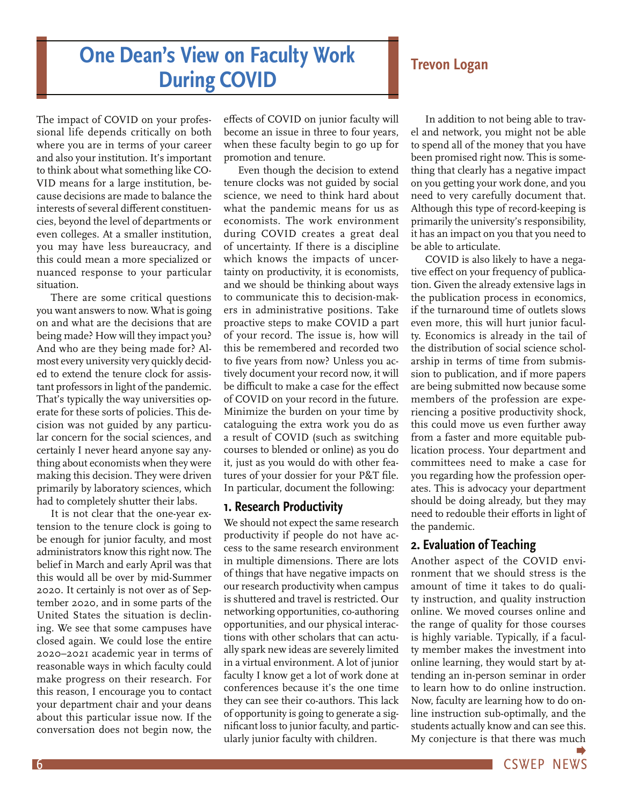## **One Dean's View on Faculty Work During COVID** Trevon Logan

The impact of COVID on your professional life depends critically on both where you are in terms of your career and also your institution. It's important to think about what something like CO-VID means for a large institution, because decisions are made to balance the interests of several different constituencies, beyond the level of departments or even colleges. At a smaller institution, you may have less bureaucracy, and this could mean a more specialized or nuanced response to your particular situation.

There are some critical questions you want answers to now. What is going on and what are the decisions that are being made? How will they impact you? And who are they being made for? Almost every university very quickly decided to extend the tenure clock for assistant professors in light of the pandemic. That's typically the way universities operate for these sorts of policies. This decision was not guided by any particular concern for the social sciences, and certainly I never heard anyone say anything about economists when they were making this decision. They were driven primarily by laboratory sciences, which had to completely shutter their labs.

It is not clear that the one-year extension to the tenure clock is going to be enough for junior faculty, and most administrators know this right now. The belief in March and early April was that this would all be over by mid-Summer 2020. It certainly is not over as of September 2020, and in some parts of the United States the situation is declining. We see that some campuses have closed again. We could lose the entire 2020–2021 academic year in terms of reasonable ways in which faculty could make progress on their research. For this reason, I encourage you to contact your department chair and your deans about this particular issue now. If the conversation does not begin now, the

effects of COVID on junior faculty will become an issue in three to four years, when these faculty begin to go up for promotion and tenure.

Even though the decision to extend tenure clocks was not guided by social science, we need to think hard about what the pandemic means for us as economists. The work environment during COVID creates a great deal of uncertainty. If there is a discipline which knows the impacts of uncertainty on productivity, it is economists, and we should be thinking about ways to communicate this to decision-makers in administrative positions. Take proactive steps to make COVID a part of your record. The issue is, how will this be remembered and recorded two to five years from now? Unless you actively document your record now, it will be difficult to make a case for the effect of COVID on your record in the future. Minimize the burden on your time by cataloguing the extra work you do as a result of COVID (such as switching courses to blended or online) as you do it, just as you would do with other features of your dossier for your P&T file. In particular, document the following:

#### **1. Research Productivity**

We should not expect the same research productivity if people do not have access to the same research environment in multiple dimensions. There are lots of things that have negative impacts on our research productivity when campus is shuttered and travel is restricted. Our networking opportunities, co-authoring opportunities, and our physical interactions with other scholars that can actually spark new ideas are severely limited in a virtual environment. A lot of junior faculty I know get a lot of work done at conferences because it's the one time they can see their co-authors. This lack of opportunity is going to generate a significant loss to junior faculty, and particularly junior faculty with children.

In addition to not being able to travel and network, you might not be able to spend all of the money that you have been promised right now. This is something that clearly has a negative impact on you getting your work done, and you need to very carefully document that. Although this type of record-keeping is primarily the university's responsibility, it has an impact on you that you need to be able to articulate.

COVID is also likely to have a negative effect on your frequency of publication. Given the already extensive lags in the publication process in economics, if the turnaround time of outlets slows even more, this will hurt junior faculty. Economics is already in the tail of the distribution of social science scholarship in terms of time from submission to publication, and if more papers are being submitted now because some members of the profession are experiencing a positive productivity shock, this could move us even further away from a faster and more equitable publication process. Your department and committees need to make a case for you regarding how the profession operates. This is advocacy your department should be doing already, but they may need to redouble their efforts in light of the pandemic.

#### **2. Evaluation of Teaching**

Another aspect of the COVID environment that we should stress is the amount of time it takes to do quality instruction, and quality instruction online. We moved courses online and the range of quality for those courses is highly variable. Typically, if a faculty member makes the investment into online learning, they would start by attending an in-person seminar in order to learn how to do online instruction. Now, faculty are learning how to do online instruction sub-optimally, and the students actually know and can see this. My conjecture is that there was much

6 CSWEP NEWS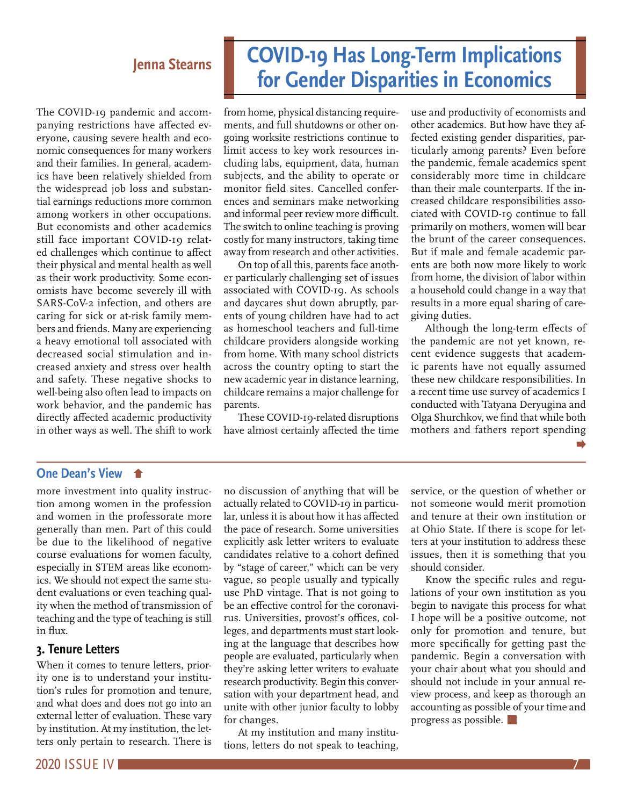The COVID-19 pandemic and accompanying restrictions have affected everyone, causing severe health and economic consequences for many workers and their families. In general, academics have been relatively shielded from the widespread job loss and substantial earnings reductions more common among workers in other occupations. But economists and other academics still face important COVID-19 related challenges which continue to affect their physical and mental health as well as their work productivity. Some economists have become severely ill with SARS-CoV-2 infection, and others are caring for sick or at-risk family members and friends. Many are experiencing a heavy emotional toll associated with decreased social stimulation and increased anxiety and stress over health and safety. These negative shocks to well-being also often lead to impacts on work behavior, and the pandemic has directly affected academic productivity in other ways as well. The shift to work

# **COVID-19 Has Long-Term Implications for Gender Disparities in Economics Jenna Stearns**

from home, physical distancing requirements, and full shutdowns or other ongoing worksite restrictions continue to limit access to key work resources including labs, equipment, data, human subjects, and the ability to operate or monitor field sites. Cancelled conferences and seminars make networking and informal peer review more difficult. The switch to online teaching is proving costly for many instructors, taking time away from research and other activities.

On top of all this, parents face another particularly challenging set of issues associated with COVID-19. As schools and daycares shut down abruptly, parents of young children have had to act as homeschool teachers and full-time childcare providers alongside working from home. With many school districts across the country opting to start the new academic year in distance learning, childcare remains a major challenge for parents.

These COVID-19-related disruptions have almost certainly affected the time use and productivity of economists and other academics. But how have they affected existing gender disparities, particularly among parents? Even before the pandemic, female academics spent considerably more time in childcare than their male counterparts. If the increased childcare responsibilities associated with COVID-19 continue to fall primarily on mothers, women will bear the brunt of the career consequences. But if male and female academic parents are both now more likely to work from home, the division of labor within a household could change in a way that results in a more equal sharing of caregiving duties.

Although the long-term effects of the pandemic are not yet known, recent evidence suggests that academic parents have not equally assumed these new childcare responsibilities. In a recent time use survey of academics I conducted with Tatyana Deryugina and Olga Shurchkov, we find that while both mothers and fathers report spending

#### **One Dean's View**

more investment into quality instruction among women in the profession and women in the professorate more generally than men. Part of this could be due to the likelihood of negative course evaluations for women faculty, especially in STEM areas like economics. We should not expect the same student evaluations or even teaching quality when the method of transmission of teaching and the type of teaching is still in flux.

#### **3. Tenure Letters**

When it comes to tenure letters, priority one is to understand your institution's rules for promotion and tenure, and what does and does not go into an external letter of evaluation. These vary by institution. At my institution, the letters only pertain to research. There is

no discussion of anything that will be actually related to COVID-19 in particular, unless it is about how it has affected the pace of research. Some universities explicitly ask letter writers to evaluate candidates relative to a cohort defined by "stage of career," which can be very vague, so people usually and typically use PhD vintage. That is not going to be an effective control for the coronavirus. Universities, provost's offices, colleges, and departments must start looking at the language that describes how people are evaluated, particularly when they're asking letter writers to evaluate research productivity. Begin this conversation with your department head, and unite with other junior faculty to lobby for changes.

At my institution and many institutions, letters do not speak to teaching, service, or the question of whether or not someone would merit promotion and tenure at their own institution or at Ohio State. If there is scope for letters at your institution to address these issues, then it is something that you should consider.

Know the specific rules and regulations of your own institution as you begin to navigate this process for what I hope will be a positive outcome, not only for promotion and tenure, but more specifically for getting past the pandemic. Begin a conversation with your chair about what you should and should not include in your annual review process, and keep as thorough an accounting as possible of your time and progress as possible.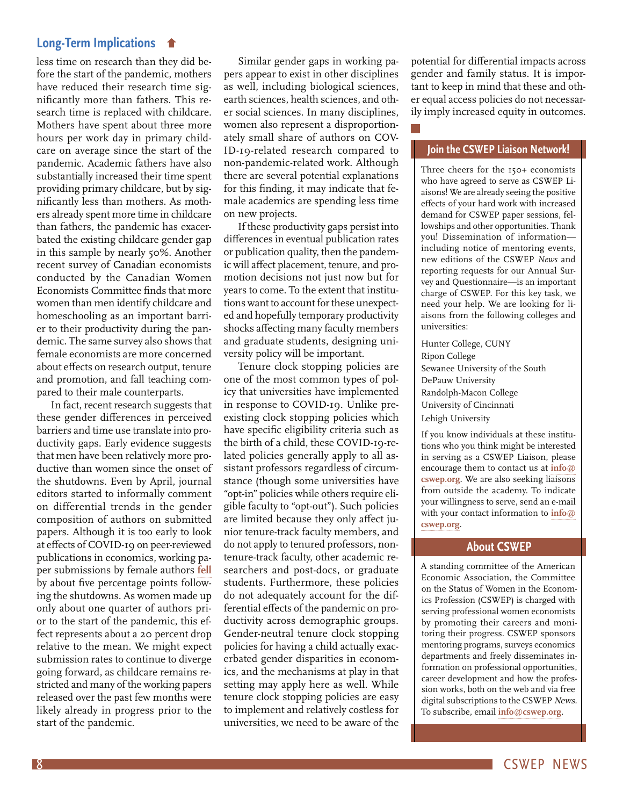#### **Long-Term Implications**

less time on research than they did before the start of the pandemic, mothers have reduced their research time significantly more than fathers. This research time is replaced with childcare. Mothers have spent about three more hours per work day in primary childcare on average since the start of the pandemic. Academic fathers have also substantially increased their time spent providing primary childcare, but by significantly less than mothers. As mothers already spent more time in childcare than fathers, the pandemic has exacerbated the existing childcare gender gap in this sample by nearly 50%. Another recent survey of Canadian economists conducted by the Canadian Women Economists Committee finds that more women than men identify childcare and homeschooling as an important barrier to their productivity during the pandemic. The same survey also shows that female economists are more concerned about effects on research output, tenure and promotion, and fall teaching compared to their male counterparts.

In fact, recent research suggests that these gender differences in perceived barriers and time use translate into productivity gaps. Early evidence suggests that men have been relatively more productive than women since the onset of the shutdowns. Even by April, journal editors started to informally comment on differential trends in the gender composition of authors on submitted papers. Although it is too early to look at effects of COVID-19 on peer-reviewed publications in economics, working paper submissions by female authors **fell** by about five percentage points following the shutdowns. As women made up only about one quarter of authors prior to the start of the pandemic, this effect represents about a 20 percent drop relative to the mean. We might expect submission rates to continue to diverge going forward, as childcare remains restricted and many of the working papers released over the past few months were likely already in progress prior to the start of the pandemic.

Similar gender gaps in working papers appear to exist in other disciplines as well, including biological sciences, earth sciences, health sciences, and other social sciences. In many disciplines, women also represent a disproportionately small share of authors on COV-ID-19-related research compared to non-pandemic-related work. Although there are several potential explanations for this finding, it may indicate that female academics are spending less time on new projects.

If these productivity gaps persist into differences in eventual publication rates or publication quality, then the pandemic will affect placement, tenure, and promotion decisions not just now but for years to come. To the extent that institutions want to account for these unexpected and hopefully temporary productivity shocks affecting many faculty members and graduate students, designing university policy will be important.

Tenure clock stopping policies are one of the most common types of policy that universities have implemented in response to COVID-19. Unlike preexisting clock stopping policies which have specific eligibility criteria such as the birth of a child, these COVID-19-related policies generally apply to all assistant professors regardless of circumstance (though some universities have "opt-in" policies while others require eligible faculty to "opt-out"). Such policies are limited because they only affect junior tenure-track faculty members, and do not apply to tenured professors, nontenure-track faculty, other academic researchers and post-docs, or graduate students. Furthermore, these policies do not adequately account for the differential effects of the pandemic on productivity across demographic groups. Gender-neutral tenure clock stopping policies for having a child actually exacerbated gender disparities in economics, and the mechanisms at play in that setting may apply here as well. While tenure clock stopping policies are easy to implement and relatively costless for universities, we need to be aware of the

potential for differential impacts across gender and family status. It is important to keep in mind that these and other equal access policies do not necessarily imply increased equity in outcomes.

#### **Join the CSWEP Liaison Network!**

Three cheers for the 150+ economists who have agreed to serve as CSWEP Liaisons! We are already seeing the positive effects of your hard work with increased demand for CSWEP paper sessions, fellowships and other opportunities. Thank you! Dissemination of information including notice of mentoring events, new editions of the CSWEP *News* and reporting requests for our Annual Survey and Questionnaire—is an important charge of CSWEP. For this key task, we need your help. We are looking for liaisons from the following colleges and universities:

Hunter College, CUNY Ripon College Sewanee University of the South DePauw University Randolph-Macon College University of Cincinnati Lehigh University

If you know individuals at these institutions who you think might be interested in serving as a CSWEP Liaison, please encourage them to contact us at **info@ cswep.org**. We are also seeking liaisons from outside the academy. To indicate your willingness to serve, send an e-mail with your contact information to **info@ cswep.org**.

#### **About CSWEP**

A standing committee of the American Economic Association, the Committee on the Status of Women in the Economics Profession (CSWEP) is charged with serving professional women economists by promoting their careers and monitoring their progress. CSWEP sponsors mentoring programs, surveys economics departments and freely disseminates information on professional opportunities, career development and how the profession works, both on the web and via free digital subscriptions to the CSWEP News. To subscribe, email **info@cswep.org**.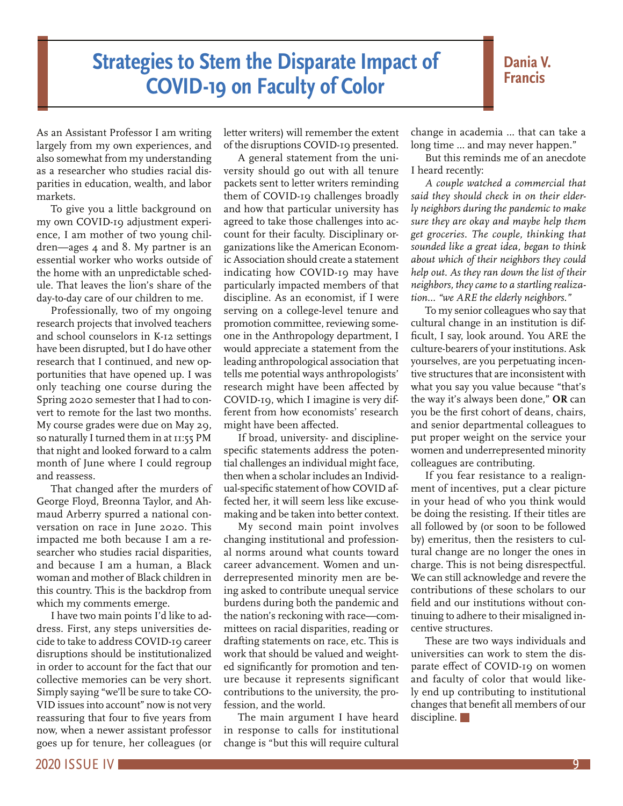## **Strategies to Stem the Disparate Impact of COVID-19 on Faculty of Color**

#### **Dania V. Francis**

As an Assistant Professor I am writing largely from my own experiences, and also somewhat from my understanding as a researcher who studies racial disparities in education, wealth, and labor markets.

To give you a little background on my own COVID-19 adjustment experience, I am mother of two young children—ages 4 and 8. My partner is an essential worker who works outside of the home with an unpredictable schedule. That leaves the lion's share of the day-to-day care of our children to me.

Professionally, two of my ongoing research projects that involved teachers and school counselors in K-12 settings have been disrupted, but I do have other research that I continued, and new opportunities that have opened up. I was only teaching one course during the Spring 2020 semester that I had to convert to remote for the last two months. My course grades were due on May 29, so naturally I turned them in at 11:55 PM that night and looked forward to a calm month of June where I could regroup and reassess.

That changed after the murders of George Floyd, Breonna Taylor, and Ahmaud Arberry spurred a national conversation on race in June 2020. This impacted me both because I am a researcher who studies racial disparities, and because I am a human, a Black woman and mother of Black children in this country. This is the backdrop from which my comments emerge.

I have two main points I'd like to address. First, any steps universities decide to take to address COVID-19 career disruptions should be institutionalized in order to account for the fact that our collective memories can be very short. Simply saying "we'll be sure to take CO-VID issues into account" now is not very reassuring that four to five years from now, when a newer assistant professor goes up for tenure, her colleagues (or

letter writers) will remember the extent of the disruptions COVID-19 presented.

A general statement from the university should go out with all tenure packets sent to letter writers reminding them of COVID-19 challenges broadly and how that particular university has agreed to take those challenges into account for their faculty. Disciplinary organizations like the American Economic Association should create a statement indicating how COVID-19 may have particularly impacted members of that discipline. As an economist, if I were serving on a college-level tenure and promotion committee, reviewing someone in the Anthropology department, I would appreciate a statement from the leading anthropological association that tells me potential ways anthropologists' research might have been affected by COVID-19, which I imagine is very different from how economists' research might have been affected.

If broad, university- and disciplinespecific statements address the potential challenges an individual might face, then when a scholar includes an Individual-specific statement of how COVID affected her, it will seem less like excusemaking and be taken into better context.

My second main point involves changing institutional and professional norms around what counts toward career advancement. Women and underrepresented minority men are being asked to contribute unequal service burdens during both the pandemic and the nation's reckoning with race—committees on racial disparities, reading or drafting statements on race, etc. This is work that should be valued and weighted significantly for promotion and tenure because it represents significant contributions to the university, the profession, and the world.

The main argument I have heard in response to calls for institutional change is "but this will require cultural change in academia … that can take a long time … and may never happen."

But this reminds me of an anecdote I heard recently:

*A couple watched a commercial that said they should check in on their elderly neighbors during the pandemic to make sure they are okay and maybe help them get groceries. The couple, thinking that sounded like a great idea, began to think about which of their neighbors they could help out. As they ran down the list of their neighbors, they came to a startling realization… "we ARE the elderly neighbors."*

To my senior colleagues who say that cultural change in an institution is difficult, I say, look around. You ARE the culture-bearers of your institutions. Ask yourselves, are you perpetuating incentive structures that are inconsistent with what you say you value because "that's the way it's always been done," **OR** can you be the first cohort of deans, chairs, and senior departmental colleagues to put proper weight on the service your women and underrepresented minority colleagues are contributing.

If you fear resistance to a realignment of incentives, put a clear picture in your head of who you think would be doing the resisting. If their titles are all followed by (or soon to be followed by) emeritus, then the resisters to cultural change are no longer the ones in charge. This is not being disrespectful. We can still acknowledge and revere the contributions of these scholars to our field and our institutions without continuing to adhere to their misaligned incentive structures.

These are two ways individuals and universities can work to stem the disparate effect of COVID-19 on women and faculty of color that would likely end up contributing to institutional changes that benefit all members of our discipline.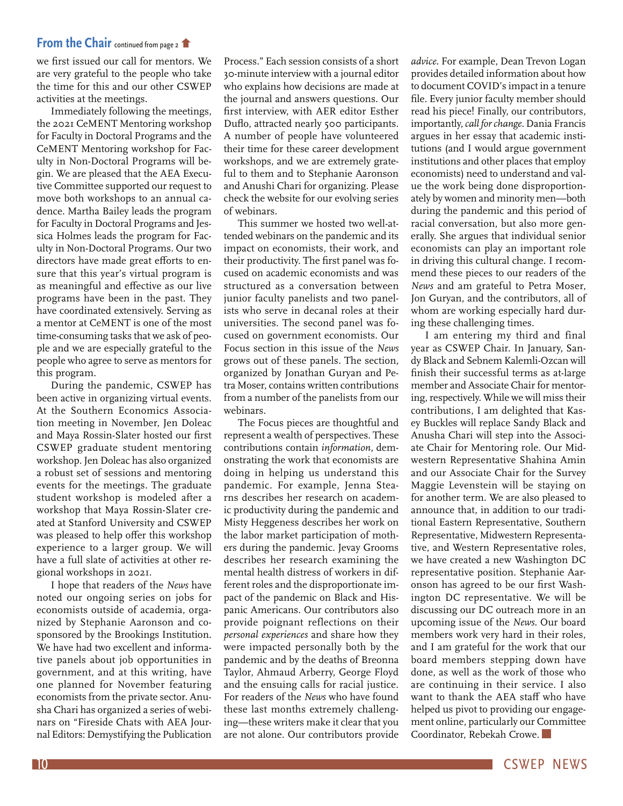#### **From the Chair** continued from page 2

we first issued our call for mentors. We are very grateful to the people who take the time for this and our other CSWEP activities at the meetings.

Immediately following the meetings, the 2021 CeMENT Mentoring workshop for Faculty in Doctoral Programs and the CeMENT Mentoring workshop for Faculty in Non-Doctoral Programs will begin. We are pleased that the AEA Executive Committee supported our request to move both workshops to an annual cadence. Martha Bailey leads the program for Faculty in Doctoral Programs and Jessica Holmes leads the program for Faculty in Non-Doctoral Programs. Our two directors have made great efforts to ensure that this year's virtual program is as meaningful and effective as our live programs have been in the past. They have coordinated extensively. Serving as a mentor at CeMENT is one of the most time-consuming tasks that we ask of people and we are especially grateful to the people who agree to serve as mentors for this program.

During the pandemic, CSWEP has been active in organizing virtual events. At the Southern Economics Association meeting in November, Jen Doleac and Maya Rossin-Slater hosted our first CSWEP graduate student mentoring workshop. Jen Doleac has also organized a robust set of sessions and mentoring events for the meetings. The graduate student workshop is modeled after a workshop that Maya Rossin-Slater created at Stanford University and CSWEP was pleased to help offer this workshop experience to a larger group. We will have a full slate of activities at other regional workshops in 2021.

I hope that readers of the *News* have noted our ongoing series on jobs for economists outside of academia, organized by Stephanie Aaronson and cosponsored by the Brookings Institution. We have had two excellent and informative panels about job opportunities in government, and at this writing, have one planned for November featuring economists from the private sector. Anusha Chari has organized a series of webinars on "Fireside Chats with AEA Journal Editors: Demystifying the Publication

Process." Each session consists of a short 30-minute interview with a journal editor who explains how decisions are made at the journal and answers questions. Our first interview, with AER editor Esther Duflo, attracted nearly 500 participants. A number of people have volunteered their time for these career development workshops, and we are extremely grateful to them and to Stephanie Aaronson and Anushi Chari for organizing. Please check the website for our evolving series of webinars.

This summer we hosted two well-attended webinars on the pandemic and its impact on economists, their work, and their productivity. The first panel was focused on academic economists and was structured as a conversation between junior faculty panelists and two panelists who serve in decanal roles at their universities. The second panel was focused on government economists. Our Focus section in this issue of the *News* grows out of these panels. The section, organized by Jonathan Guryan and Petra Moser, contains written contributions from a number of the panelists from our webinars.

The Focus pieces are thoughtful and represent a wealth of perspectives. These contributions contain *information*, demonstrating the work that economists are doing in helping us understand this pandemic. For example, Jenna Stearns describes her research on academic productivity during the pandemic and Misty Heggeness describes her work on the labor market participation of mothers during the pandemic. Jevay Grooms describes her research examining the mental health distress of workers in different roles and the disproportionate impact of the pandemic on Black and Hispanic Americans. Our contributors also provide poignant reflections on their *personal experiences* and share how they were impacted personally both by the pandemic and by the deaths of Breonna Taylor, Ahmaud Arberry, George Floyd and the ensuing calls for racial justice. For readers of the *News* who have found these last months extremely challenging—these writers make it clear that you are not alone. Our contributors provide

*advice*. For example, Dean Trevon Logan provides detailed information about how to document COVID's impact in a tenure file. Every junior faculty member should read his piece! Finally, our contributors, importantly, *call for change*. Dania Francis argues in her essay that academic institutions (and I would argue government institutions and other places that employ economists) need to understand and value the work being done disproportionately by women and minority men—both during the pandemic and this period of racial conversation, but also more generally. She argues that individual senior economists can play an important role in driving this cultural change. I recommend these pieces to our readers of the *News* and am grateful to Petra Moser, Jon Guryan, and the contributors, all of whom are working especially hard during these challenging times.

I am entering my third and final year as CSWEP Chair. In January, Sandy Black and Sebnem Kalemli-Ozcan will finish their successful terms as at-large member and Associate Chair for mentoring, respectively. While we will miss their contributions, I am delighted that Kasey Buckles will replace Sandy Black and Anusha Chari will step into the Associate Chair for Mentoring role. Our Midwestern Representative Shahina Amin and our Associate Chair for the Survey Maggie Levenstein will be staying on for another term. We are also pleased to announce that, in addition to our traditional Eastern Representative, Southern Representative, Midwestern Representative, and Western Representative roles, we have created a new Washington DC representative position. Stephanie Aaronson has agreed to be our first Washington DC representative. We will be discussing our DC outreach more in an upcoming issue of the *News.* Our board members work very hard in their roles, and I am grateful for the work that our board members stepping down have done, as well as the work of those who are continuing in their service. I also want to thank the AEA staff who have helped us pivot to providing our engagement online, particularly our Committee Coordinator, Rebekah Crowe.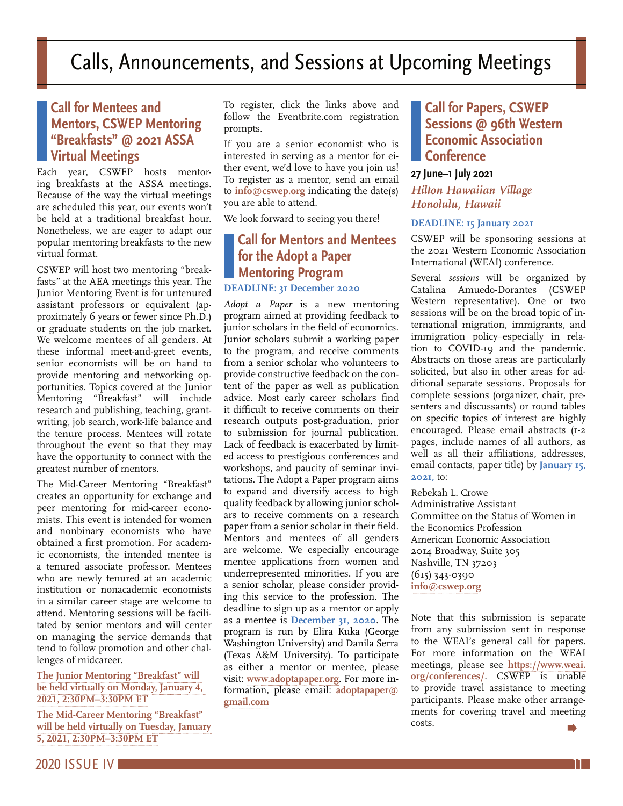## **Call for Mentees and Mentors, CSWEP Mentoring "Breakfasts" @ 2021 ASSA Virtual Meetings**

Each year, CSWEP hosts mentoring breakfasts at the ASSA meetings. Because of the way the virtual meetings are scheduled this year, our events won't be held at a traditional breakfast hour. Nonetheless, we are eager to adapt our popular mentoring breakfasts to the new virtual format.

CSWEP will host two mentoring "breakfasts" at the AEA meetings this year. The Junior Mentoring Event is for untenured assistant professors or equivalent (approximately 6 years or fewer since Ph.D.) or graduate students on the job market. We welcome mentees of all genders. At these informal meet-and-greet events, senior economists will be on hand to provide mentoring and networking opportunities. Topics covered at the Junior Mentoring "Breakfast" will include research and publishing, teaching, grantwriting, job search, work-life balance and the tenure process. Mentees will rotate throughout the event so that they may have the opportunity to connect with the greatest number of mentors.

The Mid-Career Mentoring "Breakfast" creates an opportunity for exchange and peer mentoring for mid-career economists. This event is intended for women and nonbinary economists who have obtained a first promotion. For academic economists, the intended mentee is a tenured associate professor. Mentees who are newly tenured at an academic institution or nonacademic economists in a similar career stage are welcome to attend. Mentoring sessions will be facilitated by senior mentors and will center on managing the service demands that tend to follow promotion and other challenges of midcareer.

#### **The Junior Mentoring "Breakfast" will be held virtually on Monday, January 4, 2021, 2:30PM–3:30PM ET**

**The Mid-Career Mentoring "Breakfast" will be held virtually on Tuesday, January 5, 2021, 2:30PM–3:30PM ET**

To register, click the links above and follow the Eventbrite.com registration prompts.

If you are a senior economist who is interested in serving as a mentor for either event, we'd love to have you join us! To register as a mentor, send an email to **info@cswep.org** indicating the date(s) you are able to attend.

We look forward to seeing you there!

## **Call for Mentors and Mentees for the Adopt a Paper Mentoring Program**

#### **DEADLINE: 31 December 2020**

*Adopt a Paper* is a new mentoring program aimed at providing feedback to junior scholars in the field of economics. Junior scholars submit a working paper to the program, and receive comments from a senior scholar who volunteers to provide constructive feedback on the content of the paper as well as publication advice. Most early career scholars find it difficult to receive comments on their research outputs post-graduation, prior to submission for journal publication. Lack of feedback is exacerbated by limited access to prestigious conferences and workshops, and paucity of seminar invitations. The Adopt a Paper program aims to expand and diversify access to high quality feedback by allowing junior scholars to receive comments on a research paper from a senior scholar in their field. Mentors and mentees of all genders are welcome. We especially encourage mentee applications from women and underrepresented minorities. If you are a senior scholar, please consider providing this service to the profession. The deadline to sign up as a mentor or apply as a mentee is **December 31, 2020**. The program is run by Elira Kuka (George Washington University) and Danila Serra (Texas A&M University). To participate as either a mentor or mentee, please visit: **www.adoptapaper.org**. For more information, please email: **adoptapaper@ gmail.com**

## **Call for Papers, CSWEP Sessions @ 96th Western Economic Association Conference**

#### **27 June–1 July 2021**

*Hilton Hawaiian Village Honolulu, Hawaii*

#### **DEADLINE: 15 January 2021**

CSWEP will be sponsoring sessions at the 2021 Western Economic Association International (WEAI) conference.

Several *sessions* will be organized by Catalina Amuedo-Dorantes (CSWEP Western representative). One or two sessions will be on the broad topic of international migration, immigrants, and immigration policy–especially in relation to COVID-19 and the pandemic. Abstracts on those areas are particularly solicited, but also in other areas for additional separate sessions. Proposals for complete sessions (organizer, chair, presenters and discussants) or round tables on specific topics of interest are highly encouraged. Please email abstracts (1-2 pages, include names of all authors, as well as all their affiliations, addresses, email contacts, paper title) by **January 15, 2021,** to:

Rebekah L. Crowe Administrative Assistant Committee on the Status of Women in the Economics Profession American Economic Association 2014 Broadway, Suite 305 Nashville, TN 37203 (615) 343-0390 **info@cswep.org**

Note that this submission is separate from any submission sent in response to the WEAI's general call for papers. For more information on the WEAI meetings, please see **https://www.weai. org/conferences/**. CSWEP is unable to provide travel assistance to meeting participants. Please make other arrangements for covering travel and meeting costs.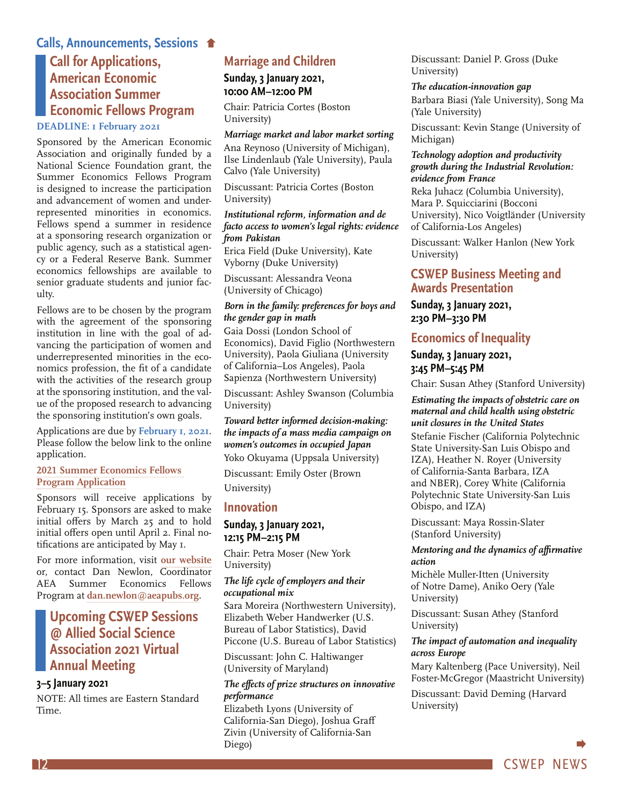#### **Calls, Announcements, Sessions**

## **Call for Applications, American Economic Association Summer Economic Fellows Program**

#### **DEADLINE: 1 February 2021**

Sponsored by the American Economic Association and originally funded by a National Science Foundation grant, the Summer Economics Fellows Program is designed to increase the participation and advancement of women and underrepresented minorities in economics. Fellows spend a summer in residence at a sponsoring research organization or public agency, such as a statistical agency or a Federal Reserve Bank. Summer economics fellowships are available to senior graduate students and junior faculty.

Fellows are to be chosen by the program with the agreement of the sponsoring institution in line with the goal of advancing the participation of women and underrepresented minorities in the economics profession, the fit of a candidate with the activities of the research group at the sponsoring institution, and the value of the proposed research to advancing the sponsoring institution's own goals.

Applications are due by **February 1, 2021**. Please follow the below link to the online application.

#### **2021 Summer Economics Fellows Program Application**

Sponsors will receive applications by February 15. Sponsors are asked to make initial offers by March 25 and to hold initial offers open until April 2. Final notifications are anticipated by May 1.

For more information, visit **our website** or, contact Dan Newlon, Coordinator AEA Summer Economics Fellows Program at **dan.newlon@aeapubs.org**.

#### **Upcoming CSWEP Sessions @ Allied Social Science Association 2021 Virtual Annual Meeting**

#### **3–5 January 2021**

NOTE: All times are Eastern Standard Time.

#### **Marriage and Children**

**Sunday, 3 January 2021, 10:00 AM–12:00 PM**

Chair: Patricia Cortes (Boston University)

#### *Marriage market and labor market sorting* Ana Reynoso (University of Michigan), Ilse Lindenlaub (Yale University), Paula Calvo (Yale University)

Discussant: Patricia Cortes (Boston University)

#### *Institutional reform, information and de facto access to women's legal rights: evidence from Pakistan*

Erica Field (Duke University), Kate Vyborny (Duke University)

Discussant: Alessandra Veona (University of Chicago)

#### *Born in the family: preferences for boys and the gender gap in math*

Gaia Dossi (London School of Economics), David Figlio (Northwestern University), Paola Giuliana (University of California–Los Angeles), Paola Sapienza (Northwestern University)

Discussant: Ashley Swanson (Columbia University)

*Toward better informed decision-making: the impacts of a mass media campaign on women's outcomes in occupied Japan* Yoko Okuyama (Uppsala University)

Discussant: Emily Oster (Brown University)

#### **Innovation**

#### **Sunday, 3 January 2021, 12:15 PM–2:15 PM**

Chair: Petra Moser (New York University)

#### *The life cycle of employers and their occupational mix*

Sara Moreira (Northwestern University), Elizabeth Weber Handwerker (U.S. Bureau of Labor Statistics), David Piccone (U.S. Bureau of Labor Statistics)

Discussant: John C. Haltiwanger (University of Maryland)

#### *The effects of prize structures on innovative performance*

Elizabeth Lyons (University of California-San Diego), Joshua Graff Zivin (University of California-San Diego)

Discussant: Daniel P. Gross (Duke University)

*The education-innovation gap* Barbara Biasi (Yale University), Song Ma (Yale University)

Discussant: Kevin Stange (University of Michigan)

*Technology adoption and productivity growth during the Industrial Revolution: evidence from France*

Reka Juhacz (Columbia University), Mara P. Squicciarini (Bocconi University), Nico Voigtländer (University of California-Los Angeles)

Discussant: Walker Hanlon (New York University)

#### **CSWEP Business Meeting and Awards Presentation**

#### **Sunday, 3 January 2021, 2:30 PM–3:30 PM**

#### **Economics of Inequality**

#### **Sunday, 3 January 2021, 3:45 PM–5:45 PM**

Chair: Susan Athey (Stanford University)

*Estimating the impacts of obstetric care on maternal and child health using obstetric unit closures in the United States* Stefanie Fischer (California Polytechnic State University-San Luis Obispo and IZA), Heather N. Royer (University of California-Santa Barbara, IZA and NBER), Corey White (California Polytechnic State University-San Luis Obispo, and IZA)

Discussant: Maya Rossin-Slater (Stanford University)

#### *Mentoring and the dynamics of affirmative action*

Michèle Muller-Itten (University of Notre Dame), Aniko Oery (Yale University)

Discussant: Susan Athey (Stanford University)

#### *The impact of automation and inequality across Europe*

Mary Kaltenberg (Pace University), Neil Foster-McGregor (Maastricht University) Discussant: David Deming (Harvard University)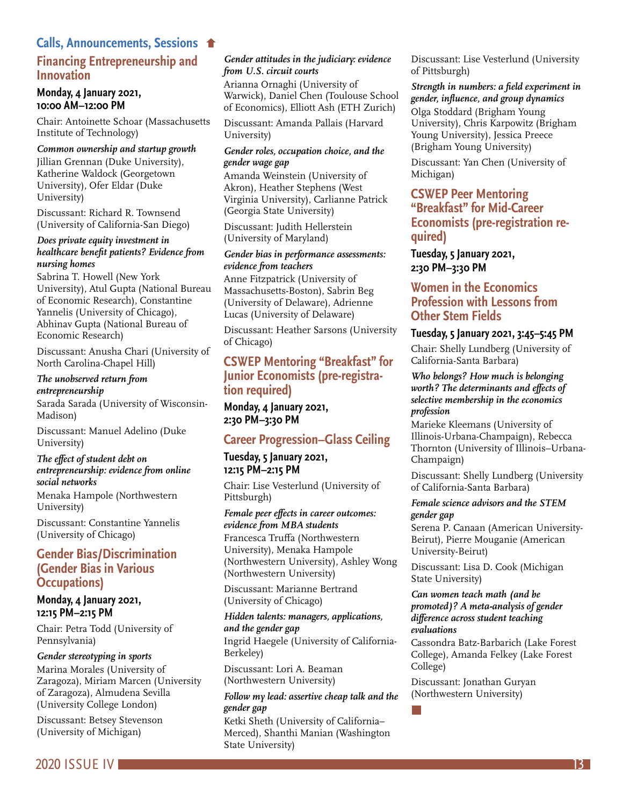#### **Financing Entrepreneurship and Innovation Calls, Announcements, Sessions**

#### **Monday, 4 January 2021, 10:00 AM–12:00 PM**

Chair: Antoinette Schoar (Massachusetts Institute of Technology)

#### *Common ownership and startup growth*

Jillian Grennan (Duke University), Katherine Waldock (Georgetown University), Ofer Eldar (Duke University)

Discussant: Richard R. Townsend (University of California-San Diego)

#### *Does private equity investment in healthcare benefit patients? Evidence from nursing homes*

Sabrina T. Howell (New York University), Atul Gupta (National Bureau of Economic Research), Constantine Yannelis (University of Chicago), Abhinav Gupta (National Bureau of Economic Research)

Discussant: Anusha Chari (University of North Carolina-Chapel Hill)

#### *The unobserved return from entrepreneurship*

Sarada Sarada (University of Wisconsin-Madison)

Discussant: Manuel Adelino (Duke University)

#### *The effect of student debt on entrepreneurship: evidence from online social networks*

Menaka Hampole (Northwestern University)

Discussant: Constantine Yannelis (University of Chicago)

#### **Gender Bias/Discrimination (Gender Bias in Various Occupations)**

#### **Monday, 4 January 2021, 12:15 PM–2:15 PM**

Chair: Petra Todd (University of Pennsylvania)

#### *Gender stereotyping in sports*

Marina Morales (University of Zaragoza), Miriam Marcen (University of Zaragoza), Almudena Sevilla (University College London)

Discussant: Betsey Stevenson (University of Michigan)

#### *Gender attitudes in the judiciary: evidence from U.S. circuit courts*

Arianna Ornaghi (University of Warwick), Daniel Chen (Toulouse School of Economics), Elliott Ash (ETH Zurich)

Discussant: Amanda Pallais (Harvard University)

#### *Gender roles, occupation choice, and the gender wage gap*

Amanda Weinstein (University of Akron), Heather Stephens (West Virginia University), Carlianne Patrick (Georgia State University)

Discussant: Judith Hellerstein (University of Maryland)

#### *Gender bias in performance assessments: evidence from teachers*

Anne Fitzpatrick (University of Massachusetts-Boston), Sabrin Beg (University of Delaware), Adrienne Lucas (University of Delaware)

Discussant: Heather Sarsons (University of Chicago)

## **CSWEP Mentoring "Breakfast" for Junior Economists (pre-registra- tion required)**

**Monday, 4 January 2021, 2:30 PM–3:30 PM**

#### **Career Progression–Glass Ceiling**

**Tuesday, 5 January 2021, 12:15 PM–2:15 PM**

Chair: Lise Vesterlund (University of Pittsburgh)

*Female peer effects in career outcomes: evidence from MBA students* Francesca Truffa (Northwestern University), Menaka Hampole (Northwestern University), Ashley Wong (Northwestern University)

Discussant: Marianne Bertrand (University of Chicago)

#### *Hidden talents: managers, applications, and the gender gap*

Ingrid Haegele (University of California-Berkeley)

Discussant: Lori A. Beaman (Northwestern University)

#### *Follow my lead: assertive cheap talk and the gender gap*

Ketki Sheth (University of California– Merced), Shanthi Manian (Washington State University)

Discussant: Lise Vesterlund (University of Pittsburgh)

#### *Strength in numbers: a field experiment in gender, influence, and group dynamics*

Olga Stoddard (Brigham Young University), Chris Karpowitz (Brigham Young University), Jessica Preece (Brigham Young University)

Discussant: Yan Chen (University of Michigan)

#### **CSWEP Peer Mentoring "Breakfast" for Mid-Career Economists (pre-registration required)**

**Tuesday, 5 January 2021, 2:30 PM–3:30 PM**

#### **Women in the Economics Profession with Lessons from Other Stem Fields**

#### **Tuesday, 5 January 2021, 3:45–5:45 PM**

Chair: Shelly Lundberg (University of California-Santa Barbara)

#### *Who belongs? How much is belonging worth? The determinants and effects of selective membership in the economics profession*

Marieke Kleemans (University of Illinois-Urbana-Champaign), Rebecca Thornton (University of Illinois–Urbana-Champaign)

Discussant: Shelly Lundberg (University of California-Santa Barbara)

#### *Female science advisors and the STEM gender gap*

Serena P. Canaan (American University-Beirut), Pierre Mouganie (American University-Beirut)

Discussant: Lisa D. Cook (Michigan State University)

#### *Can women teach math (and be promoted)? A meta-analysis of gender difference across student teaching evaluations*

Cassondra Batz-Barbarich (Lake Forest College), Amanda Felkey (Lake Forest College)

Discussant: Jonathan Guryan (Northwestern University)

2020 ISSUE IV 13